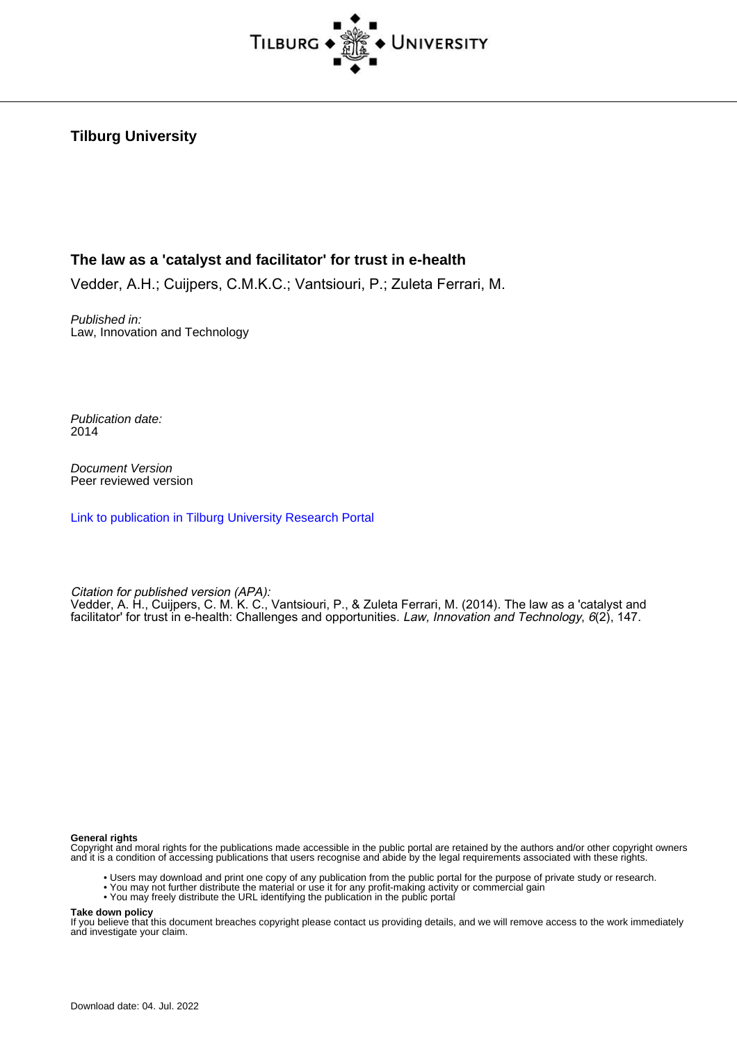

# **Tilburg University**

# **The law as a 'catalyst and facilitator' for trust in e-health**

Vedder, A.H.; Cuijpers, C.M.K.C.; Vantsiouri, P.; Zuleta Ferrari, M.

Published in: Law, Innovation and Technology

Publication date: 2014

Document Version Peer reviewed version

[Link to publication in Tilburg University Research Portal](https://research.tilburguniversity.edu/en/publications/7c9b5208-1760-4a5d-986b-1ffc45e837cd)

Citation for published version (APA): Vedder, A. H., Cuijpers, C. M. K. C., Vantsiouri, P., & Zuleta Ferrari, M. (2014). The law as a 'catalyst and facilitator' for trust in e-health: Challenges and opportunities. Law, Innovation and Technology, 6(2), 147.

#### **General rights**

Copyright and moral rights for the publications made accessible in the public portal are retained by the authors and/or other copyright owners and it is a condition of accessing publications that users recognise and abide by the legal requirements associated with these rights.

- Users may download and print one copy of any publication from the public portal for the purpose of private study or research.
- You may not further distribute the material or use it for any profit-making activity or commercial gain
- You may freely distribute the URL identifying the publication in the public portal

#### **Take down policy**

If you believe that this document breaches copyright please contact us providing details, and we will remove access to the work immediately and investigate your claim.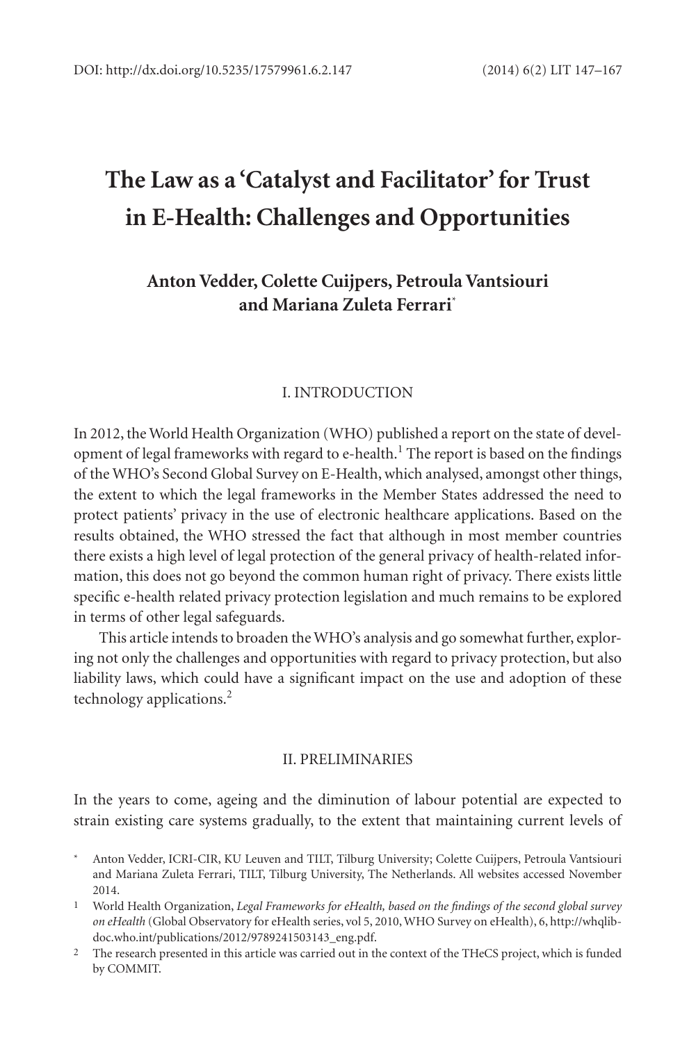# **The Law as a 'Catalyst and Facilitator' for Trust in E-Health: Challenges and Opportunities**

# **Anton Vedder, Colette Cuijpers, Petroula Vantsiouri and Mariana Zuleta Ferrari**\*

# I. INTRODUCTION

In 2012, the World Health Organization (WHO) published a report on the state of development of legal frameworks with regard to e-health. $^1$  The report is based on the findings of the WHO's Second Global Survey on E-Health, which analysed, amongst other things, the extent to which the legal frameworks in the Member States addressed the need to protect patients' privacy in the use of electronic healthcare applications. Based on the results obtained, the WHO stressed the fact that although in most member countries there exists a high level of legal protection of the general privacy of health-related information, this does not go beyond the common human right of privacy. There exists little specific e-health related privacy protection legislation and much remains to be explored in terms of other legal safeguards.

This article intends to broaden the WHO's analysis and go somewhat further, exploring not only the challenges and opportunities with regard to privacy protection, but also liability laws, which could have a significant impact on the use and adoption of these technology applications.<sup>2</sup>

#### II. PRELIMINARIES

In the years to come, ageing and the diminution of labour potential are expected to strain existing care systems gradually, to the extent that maintaining current levels of

<sup>\*</sup> Anton Vedder, ICRI-CIR, KU Leuven and TILT, Tilburg University; Colette Cuijpers, Petroula Vantsiouri and Mariana Zuleta Ferrari, TILT, Tilburg University, The Netherlands. All websites accessed November 2014.

<sup>1</sup> World Health Organization, *Legal Frameworks for eHealth, based on the findings of the second global survey on eHealth* (Global Observatory for eHealth series, vol 5, 2010, WHO Survey on eHealth), 6, http://whqlibdoc.who.int/publications/2012/9789241503143\_eng.pdf.

<sup>2</sup> The research presented in this article was carried out in the context of the THeCS project, which is funded by COMMIT.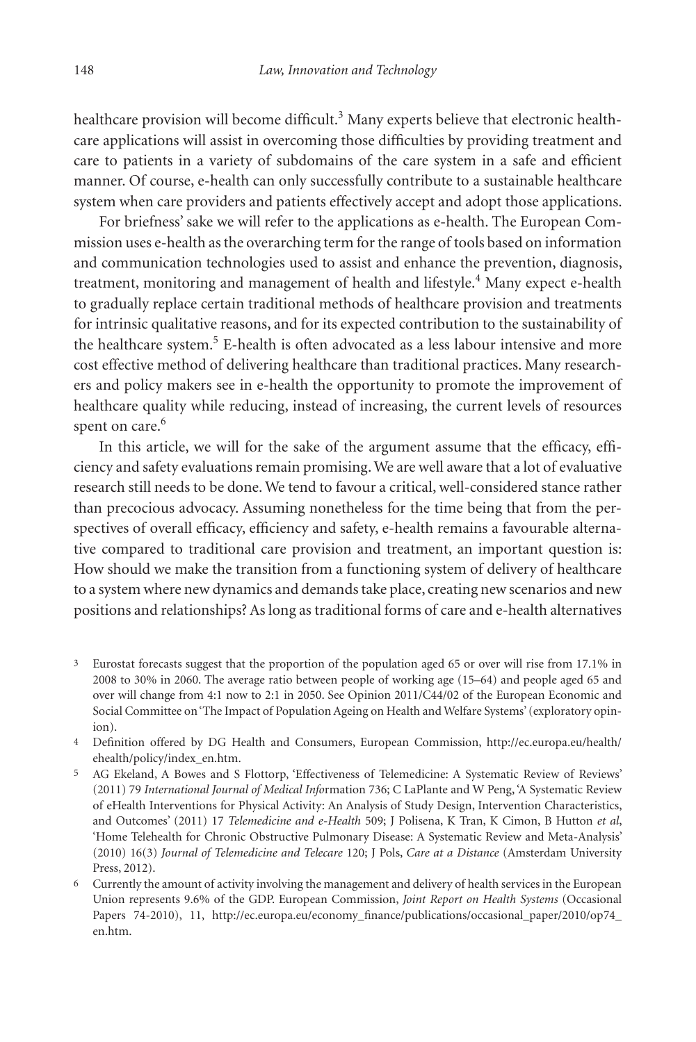healthcare provision will become difficult.<sup>3</sup> Many experts believe that electronic healthcare applications will assist in overcoming those difficulties by providing treatment and care to patients in a variety of subdomains of the care system in a safe and efficient manner. Of course, e-health can only successfully contribute to a sustainable healthcare system when care providers and patients effectively accept and adopt those applications.

For briefness' sake we will refer to the applications as e-health. The European Commission uses e-health as the overarching term for the range of tools based on information and communication technologies used to assist and enhance the prevention, diagnosis, treatment, monitoring and management of health and lifestyle.<sup>4</sup> Many expect e-health to gradually replace certain traditional methods of healthcare provision and treatments for intrinsic qualitative reasons, and for its expected contribution to the sustainability of the healthcare system.<sup>5</sup> E-health is often advocated as a less labour intensive and more cost effective method of delivering healthcare than traditional practices. Many researchers and policy makers see in e-health the opportunity to promote the improvement of healthcare quality while reducing, instead of increasing, the current levels of resources spent on care.<sup>6</sup>

In this article, we will for the sake of the argument assume that the efficacy, efficiency and safety evaluations remain promising. We are well aware that a lot of evaluative research still needs to be done. We tend to favour a critical, well-considered stance rather than precocious advocacy. Assuming nonetheless for the time being that from the perspectives of overall efficacy, efficiency and safety, e-health remains a favourable alternative compared to traditional care provision and treatment, an important question is: How should we make the transition from a functioning system of delivery of healthcare to a system where new dynamics and demands take place, creating new scenarios and new positions and relationships? As long as traditional forms of care and e-health alternatives

- 3 Eurostat forecasts suggest that the proportion of the population aged 65 or over will rise from 17.1% in 2008 to 30% in 2060. The average ratio between people of working age (15–64) and people aged 65 and over will change from 4:1 now to 2:1 in 2050. See Opinion 2011/C44/02 of the European Economic and Social Committee on 'The Impact of Population Ageing on Health and Welfare Systems' (exploratory opinion).
- 4 Definition offered by DG Health and Consumers, European Commission, http://ec.europa.eu/health/ ehealth/policy/index\_en.htm.
- 5 AG Ekeland, A Bowes and S Flottorp, 'Effectiveness of Telemedicine: A Systematic Review of Reviews' (2011) 79 *International Journal of Medical Info*rmation 736; C LaPlante and W Peng, 'A Systematic Review of eHealth Interventions for Physical Activity: An Analysis of Study Design, Intervention Characteristics, and Outcomes' (2011) 17 *Telemedicine and e-Health* 509; J Polisena, K Tran, K Cimon, B Hutton *et al*, 'Home Telehealth for Chronic Obstructive Pulmonary Disease: A Systematic Review and Meta-Analysis' (2010) 16(3) *Journal of Telemedicine and Telecare* 120; J Pols, *Care at a Distance* (Amsterdam University Press, 2012).
- 6 Currently the amount of activity involving the management and delivery of health services in the European Union represents 9.6% of the GDP. European Commission, *Joint Report on Health Systems* (Occasional Papers 74-2010), 11, http://ec.europa.eu/economy\_finance/publications/occasional\_paper/2010/op74\_ en.htm.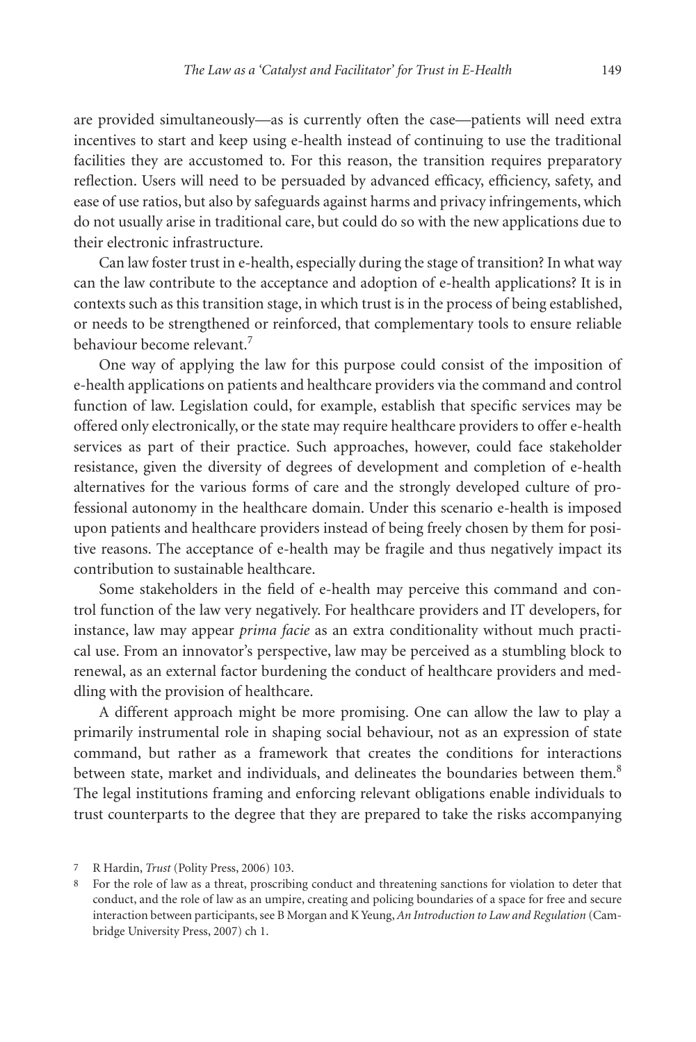are provided simultaneously—as is currently often the case—patients will need extra incentives to start and keep using e-health instead of continuing to use the traditional facilities they are accustomed to. For this reason, the transition requires preparatory reflection. Users will need to be persuaded by advanced efficacy, efficiency, safety, and ease of use ratios, but also by safeguards against harms and privacy infringements, which do not usually arise in traditional care, but could do so with the new applications due to their electronic infrastructure.

Can law foster trust in e-health, especially during the stage of transition? In what way can the law contribute to the acceptance and adoption of e-health applications? It is in contexts such as this transition stage, in which trust is in the process of being established, or needs to be strengthened or reinforced, that complementary tools to ensure reliable behaviour become relevant.7

One way of applying the law for this purpose could consist of the imposition of e-health applications on patients and healthcare providers via the command and control function of law. Legislation could, for example, establish that specific services may be offered only electronically, or the state may require healthcare providers to offer e-health services as part of their practice. Such approaches, however, could face stakeholder resistance, given the diversity of degrees of development and completion of e-health alternatives for the various forms of care and the strongly developed culture of professional autonomy in the healthcare domain. Under this scenario e-health is imposed upon patients and healthcare providers instead of being freely chosen by them for positive reasons. The acceptance of e-health may be fragile and thus negatively impact its contribution to sustainable healthcare.

Some stakeholders in the field of e-health may perceive this command and control function of the law very negatively. For healthcare providers and IT developers, for instance, law may appear *prima facie* as an extra conditionality without much practical use. From an innovator's perspective, law may be perceived as a stumbling block to renewal, as an external factor burdening the conduct of healthcare providers and meddling with the provision of healthcare.

A different approach might be more promising. One can allow the law to play a primarily instrumental role in shaping social behaviour, not as an expression of state command, but rather as a framework that creates the conditions for interactions between state, market and individuals, and delineates the boundaries between them.<sup>8</sup> The legal institutions framing and enforcing relevant obligations enable individuals to trust counterparts to the degree that they are prepared to take the risks accompanying

<sup>7</sup> R Hardin, *Trust* (Polity Press, 2006) 103.

<sup>8</sup> For the role of law as a threat, proscribing conduct and threatening sanctions for violation to deter that conduct, and the role of law as an umpire, creating and policing boundaries of a space for free and secure interaction between participants, see B Morgan and K Yeung, *An Introduction to Law and Regulation* (Cambridge University Press, 2007) ch 1.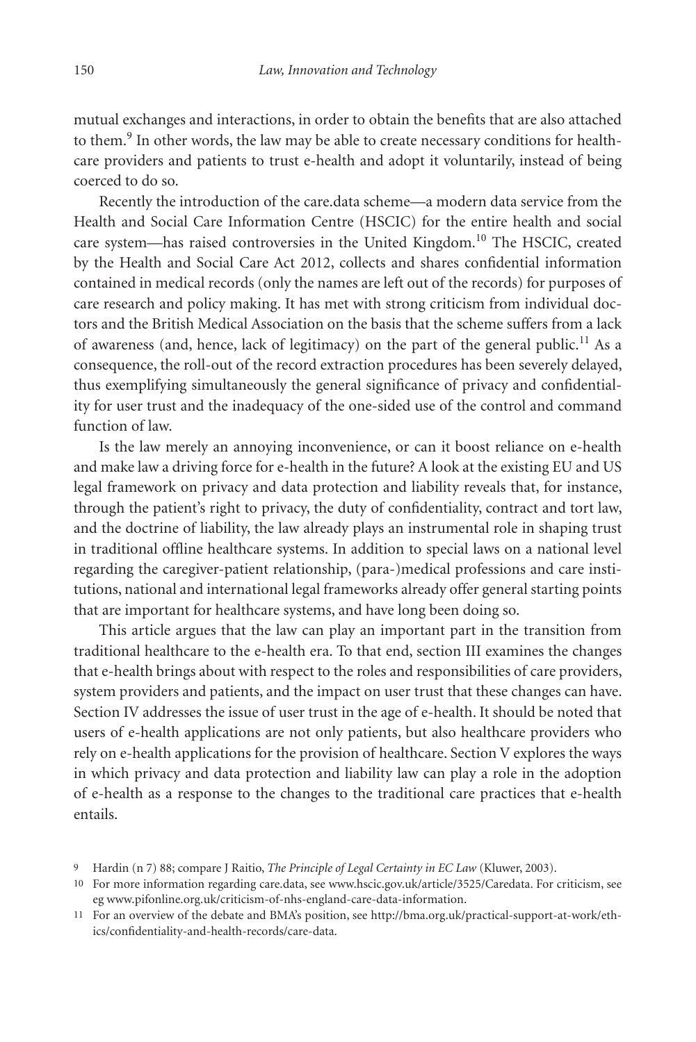mutual exchanges and interactions, in order to obtain the benefits that are also attached to them.<sup>9</sup> In other words, the law may be able to create necessary conditions for healthcare providers and patients to trust e-health and adopt it voluntarily, instead of being coerced to do so.

Recently the introduction of the care.data scheme—a modern data service from the Health and Social Care Information Centre (HSCIC) for the entire health and social care system—has raised controversies in the United Kingdom.10 The HSCIC, created by the Health and Social Care Act 2012, collects and shares confidential information contained in medical records (only the names are left out of the records) for purposes of care research and policy making. It has met with strong criticism from individual doctors and the British Medical Association on the basis that the scheme suffers from a lack of awareness (and, hence, lack of legitimacy) on the part of the general public.<sup>11</sup> As a consequence, the roll-out of the record extraction procedures has been severely delayed, thus exemplifying simultaneously the general significance of privacy and confidentiality for user trust and the inadequacy of the one-sided use of the control and command function of law.

Is the law merely an annoying inconvenience, or can it boost reliance on e-health and make law a driving force for e-health in the future? A look at the existing EU and US legal framework on privacy and data protection and liability reveals that, for instance, through the patient's right to privacy, the duty of confidentiality, contract and tort law, and the doctrine of liability, the law already plays an instrumental role in shaping trust in traditional offline healthcare systems. In addition to special laws on a national level regarding the caregiver-patient relationship, (para-)medical professions and care institutions, national and international legal frameworks already offer general starting points that are important for healthcare systems, and have long been doing so.

This article argues that the law can play an important part in the transition from traditional healthcare to the e-health era. To that end, section III examines the changes that e-health brings about with respect to the roles and responsibilities of care providers, system providers and patients, and the impact on user trust that these changes can have. Section IV addresses the issue of user trust in the age of e-health. It should be noted that users of e-health applications are not only patients, but also healthcare providers who rely on e-health applications for the provision of healthcare. Section V explores the ways in which privacy and data protection and liability law can play a role in the adoption of e-health as a response to the changes to the traditional care practices that e-health entails.

<sup>9</sup> Hardin (n 7) 88; compare J Raitio, *The Principle of Legal Certainty in EC Law* (Kluwer, 2003).

<sup>10</sup> For more information regarding care.data, see www.hscic.gov.uk/article/3525/Caredata. For criticism, see eg www.pifonline.org.uk/criticism-of-nhs-england-care-data-information.

<sup>11</sup> For an overview of the debate and BMA's position, see http://bma.org.uk/practical-support-at-work/ethics/confidentiality-and-health-records/care-data.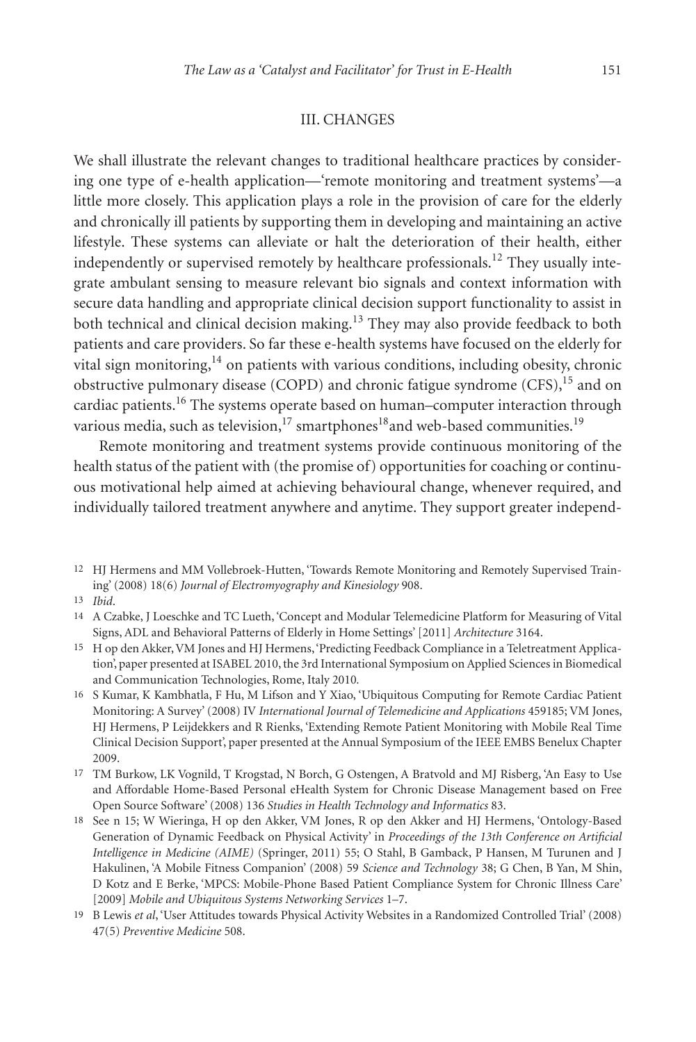## III. CHANGES

We shall illustrate the relevant changes to traditional healthcare practices by considering one type of e-health application—'remote monitoring and treatment systems'—a little more closely. This application plays a role in the provision of care for the elderly and chronically ill patients by supporting them in developing and maintaining an active lifestyle. These systems can alleviate or halt the deterioration of their health, either independently or supervised remotely by healthcare professionals.<sup>12</sup> They usually integrate ambulant sensing to measure relevant bio signals and context information with secure data handling and appropriate clinical decision support functionality to assist in both technical and clinical decision making.<sup>13</sup> They may also provide feedback to both patients and care providers. So far these e-health systems have focused on the elderly for vital sign monitoring, $14$  on patients with various conditions, including obesity, chronic obstructive pulmonary disease (COPD) and chronic fatigue syndrome  $(CFS)$ ,<sup>15</sup> and on cardiac patients.<sup>16</sup> The systems operate based on human–computer interaction through various media, such as television,<sup>17</sup> smartphones<sup>18</sup> and web-based communities.<sup>19</sup>

Remote monitoring and treatment systems provide continuous monitoring of the health status of the patient with (the promise of) opportunities for coaching or continuous motivational help aimed at achieving behavioural change, whenever required, and individually tailored treatment anywhere and anytime. They support greater independ-

- 15 H op den Akker, VM Jones and HJ Hermens, 'Predicting Feedback Compliance in a Teletreatment Application', paper presented at ISABEL 2010, the 3rd International Symposium on Applied Sciences in Biomedical and Communication Technologies, Rome, Italy 2010*.*
- 16 S Kumar, K Kambhatla, F Hu, M Lifson and Y Xiao, 'Ubiquitous Computing for Remote Cardiac Patient Monitoring: A Survey' (2008) IV *International Journal of Telemedicine and Applications* 459185; VM Jones, HJ Hermens, P Leijdekkers and R Rienks, 'Extending Remote Patient Monitoring with Mobile Real Time Clinical Decision Support', paper presented at the Annual Symposium of the IEEE EMBS Benelux Chapter 2009.
- 17 TM Burkow, LK Vognild, T Krogstad, N Borch, G Ostengen, A Bratvold and MJ Risberg, 'An Easy to Use and Affordable Home-Based Personal eHealth System for Chronic Disease Management based on Free Open Source Software' (2008) 136 *Studies in Health Technology and Informatics* 83.
- 18 See n 15; W Wieringa, H op den Akker, VM Jones, R op den Akker and HJ Hermens, 'Ontology-Based Generation of Dynamic Feedback on Physical Activity' in *Proceedings of the 13th Conference on Artificial Intelligence in Medicine (AIME)* (Springer, 2011) 55; O Stahl, B Gamback, P Hansen, M Turunen and J Hakulinen, 'A Mobile Fitness Companion' (2008) 59 *Science and Technology* 38; G Chen, B Yan, M Shin, D Kotz and E Berke, 'MPCS: Mobile-Phone Based Patient Compliance System for Chronic Illness Care' [2009] *Mobile and Ubiquitous Systems Networking Services* 1–7.
- 19 B Lewis *et al*, 'User Attitudes towards Physical Activity Websites in a Randomized Controlled Trial' (2008) 47(5) *Preventive Medicine* 508.

<sup>12</sup> HJ Hermens and MM Vollebroek-Hutten, 'Towards Remote Monitoring and Remotely Supervised Training' (2008) 18(6) *Journal of Electromyography and Kinesiology* 908.

<sup>13</sup> *Ibid*.

<sup>14</sup> A Czabke, J Loeschke and TC Lueth, 'Concept and Modular Telemedicine Platform for Measuring of Vital Signs, ADL and Behavioral Patterns of Elderly in Home Settings' [2011] *Architecture* 3164.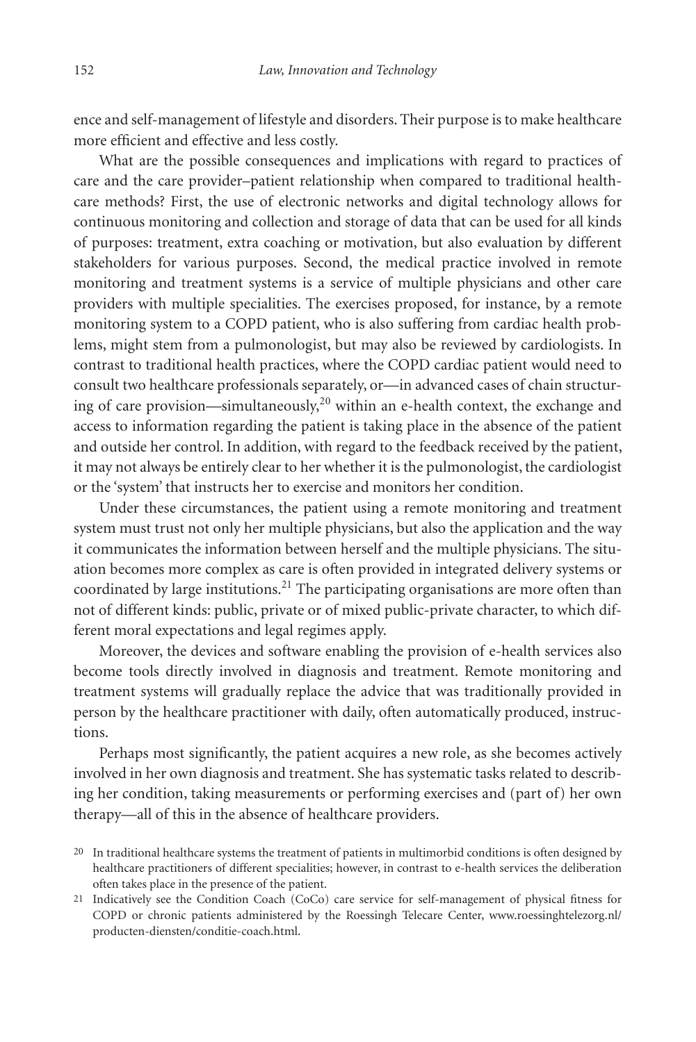ence and self-management of lifestyle and disorders. Their purpose is to make healthcare more efficient and effective and less costly.

What are the possible consequences and implications with regard to practices of care and the care provider–patient relationship when compared to traditional healthcare methods? First, the use of electronic networks and digital technology allows for continuous monitoring and collection and storage of data that can be used for all kinds of purposes: treatment, extra coaching or motivation, but also evaluation by different stakeholders for various purposes. Second, the medical practice involved in remote monitoring and treatment systems is a service of multiple physicians and other care providers with multiple specialities. The exercises proposed, for instance, by a remote monitoring system to a COPD patient, who is also suffering from cardiac health problems, might stem from a pulmonologist, but may also be reviewed by cardiologists. In contrast to traditional health practices, where the COPD cardiac patient would need to consult two healthcare professionals separately, or—in advanced cases of chain structuring of care provision—simultaneously, $2^0$  within an e-health context, the exchange and access to information regarding the patient is taking place in the absence of the patient and outside her control. In addition, with regard to the feedback received by the patient, it may not always be entirely clear to her whether it is the pulmonologist, the cardiologist or the 'system' that instructs her to exercise and monitors her condition.

Under these circumstances, the patient using a remote monitoring and treatment system must trust not only her multiple physicians, but also the application and the way it communicates the information between herself and the multiple physicians. The situation becomes more complex as care is often provided in integrated delivery systems or coordinated by large institutions.<sup>21</sup> The participating organisations are more often than not of different kinds: public, private or of mixed public-private character, to which different moral expectations and legal regimes apply.

Moreover, the devices and software enabling the provision of e-health services also become tools directly involved in diagnosis and treatment. Remote monitoring and treatment systems will gradually replace the advice that was traditionally provided in person by the healthcare practitioner with daily, often automatically produced, instructions.

Perhaps most significantly, the patient acquires a new role, as she becomes actively involved in her own diagnosis and treatment. She has systematic tasks related to describing her condition, taking measurements or performing exercises and (part of) her own therapy—all of this in the absence of healthcare providers.

<sup>20</sup> In traditional healthcare systems the treatment of patients in multimorbid conditions is often designed by healthcare practitioners of different specialities; however, in contrast to e-health services the deliberation often takes place in the presence of the patient.

<sup>21</sup> Indicatively see the Condition Coach (CoCo) care service for self-management of physical fitness for COPD or chronic patients administered by the Roessingh Telecare Center, www.roessinghtelezorg.nl/ producten-diensten/conditie-coach.html.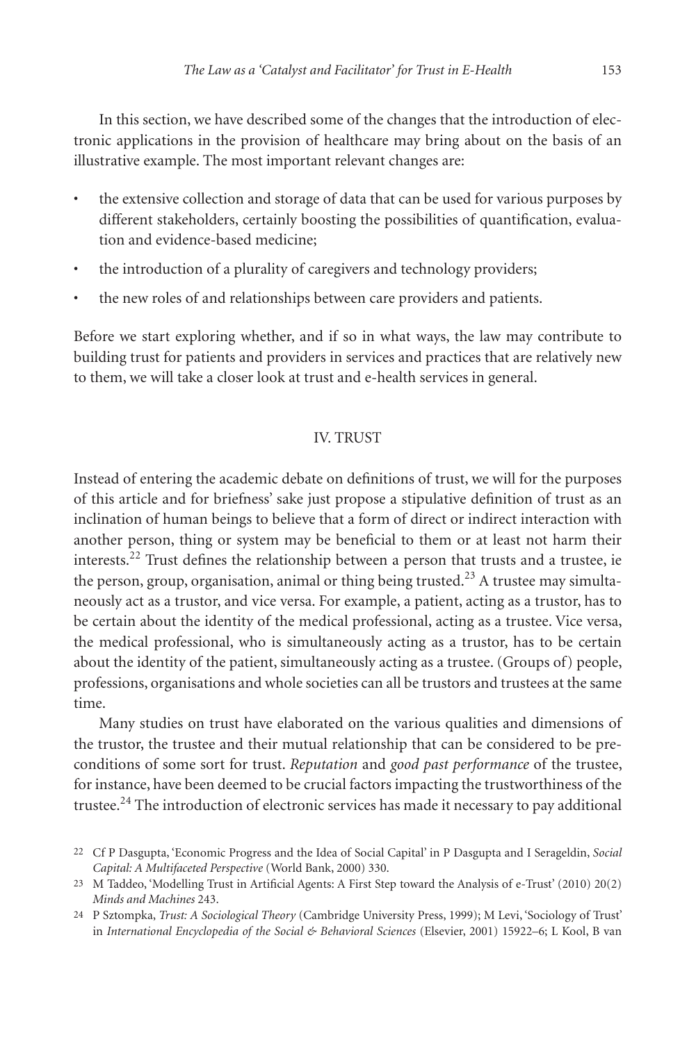In this section, we have described some of the changes that the introduction of electronic applications in the provision of healthcare may bring about on the basis of an illustrative example. The most important relevant changes are:

- the extensive collection and storage of data that can be used for various purposes by different stakeholders, certainly boosting the possibilities of quantification, evaluation and evidence-based medicine;
- the introduction of a plurality of caregivers and technology providers;
- the new roles of and relationships between care providers and patients.

Before we start exploring whether, and if so in what ways, the law may contribute to building trust for patients and providers in services and practices that are relatively new to them, we will take a closer look at trust and e-health services in general.

## IV. TRUST

Instead of entering the academic debate on definitions of trust, we will for the purposes of this article and for briefness' sake just propose a stipulative definition of trust as an inclination of human beings to believe that a form of direct or indirect interaction with another person, thing or system may be beneficial to them or at least not harm their interests. $^{22}$  Trust defines the relationship between a person that trusts and a trustee, ie the person, group, organisation, animal or thing being trusted.<sup>23</sup> A trustee may simultaneously act as a trustor, and vice versa. For example, a patient, acting as a trustor, has to be certain about the identity of the medical professional, acting as a trustee. Vice versa, the medical professional, who is simultaneously acting as a trustor, has to be certain about the identity of the patient, simultaneously acting as a trustee. (Groups of) people, professions, organisations and whole societies can all be trustors and trustees at the same time.

Many studies on trust have elaborated on the various qualities and dimensions of the trustor, the trustee and their mutual relationship that can be considered to be preconditions of some sort for trust. *Reputation* and *good past performance* of the trustee, for instance, have been deemed to be crucial factors impacting the trustworthiness of the trustee.<sup>24</sup> The introduction of electronic services has made it necessary to pay additional

<sup>22</sup> Cf P Dasgupta, 'Economic Progress and the Idea of Social Capital' in P Dasgupta and I Serageldin, *Social Capital: A Multifaceted Perspective* (World Bank, 2000) 330.

<sup>23</sup> M Taddeo, 'Modelling Trust in Artificial Agents: A First Step toward the Analysis of e-Trust' (2010) 20(2) *Minds and Machines* 243.

<sup>24</sup> P Sztompka, *Trust: A Sociological Theory* (Cambridge University Press, 1999); M Levi, 'Sociology of Trust' in *International Encyclopedia of the Social & Behavioral Sciences* (Elsevier, 2001) 15922–6; L Kool, B van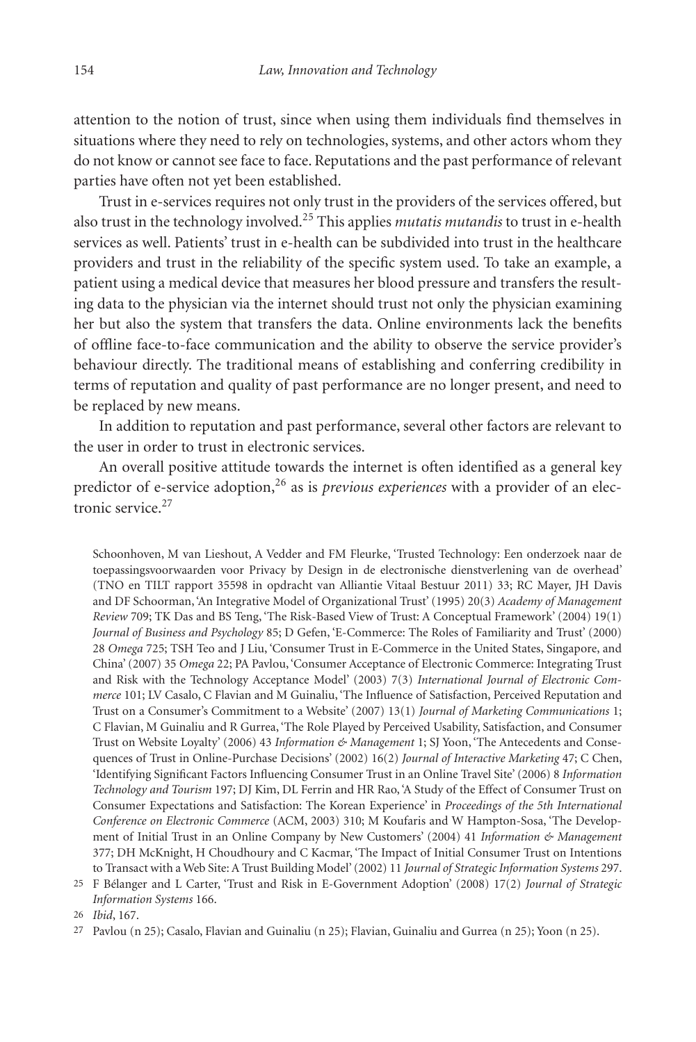attention to the notion of trust, since when using them individuals find themselves in situations where they need to rely on technologies, systems, and other actors whom they do not know or cannot see face to face. Reputations and the past performance of relevant parties have often not yet been established.

Trust in e-services requires not only trust in the providers of the services offered, but also trust in the technology involved.25 This applies *mutatis mutandis* to trust in e-health services as well. Patients' trust in e-health can be subdivided into trust in the healthcare providers and trust in the reliability of the specific system used. To take an example, a patient using a medical device that measures her blood pressure and transfers the resulting data to the physician via the internet should trust not only the physician examining her but also the system that transfers the data. Online environments lack the benefits of offline face-to-face communication and the ability to observe the service provider's behaviour directly. The traditional means of establishing and conferring credibility in terms of reputation and quality of past performance are no longer present, and need to be replaced by new means.

In addition to reputation and past performance, several other factors are relevant to the user in order to trust in electronic services.

An overall positive attitude towards the internet is often identified as a general key predictor of e-service adoption,<sup>26</sup> as is *previous experiences* with a provider of an electronic service.27

Schoonhoven, M van Lieshout, A Vedder and FM Fleurke, 'Trusted Technology: Een onderzoek naar de toepassingsvoorwaarden voor Privacy by Design in de electronische dienstverlening van de overhead' (TNO en TILT rapport 35598 in opdracht van Alliantie Vitaal Bestuur 2011) 33; RC Mayer, JH Davis and DF Schoorman, 'An Integrative Model of Organizational Trust' (1995) 20(3) *Academy of Management Review* 709; TK Das and BS Teng, 'The Risk-Based View of Trust: A Conceptual Framework' (2004) 19(1) *Journal of Business and Psychology* 85; D Gefen, 'E-Commerce: The Roles of Familiarity and Trust' (2000) 28 *Omega* 725; TSH Teo and J Liu, 'Consumer Trust in E-Commerce in the United States, Singapore, and China' (2007) 35 *Omega* 22; PA Pavlou, 'Consumer Acceptance of Electronic Commerce: Integrating Trust and Risk with the Technology Acceptance Model' (2003) 7(3) *International Journal of Electronic Commerce* 101; LV Casalo, C Flavian and M Guinaliu, 'The Influence of Satisfaction, Perceived Reputation and Trust on a Consumer's Commitment to a Website' (2007) 13(1) *Journal of Marketing Communications* 1; C Flavian, M Guinaliu and R Gurrea, 'The Role Played by Perceived Usability, Satisfaction, and Consumer Trust on Website Loyalty' (2006) 43 *Information & Management* 1; SJ Yoon, 'The Antecedents and Consequences of Trust in Online-Purchase Decisions' (2002) 16(2) *Journal of Interactive Marketing* 47; C Chen, 'Identifying Significant Factors Influencing Consumer Trust in an Online Travel Site' (2006) 8 *Information Technology and Tourism* 197; DJ Kim, DL Ferrin and HR Rao, 'A Study of the Effect of Consumer Trust on Consumer Expectations and Satisfaction: The Korean Experience' in *Proceedings of the 5th International Conference on Electronic Commerce* (ACM, 2003) 310; M Koufaris and W Hampton-Sosa, 'The Development of Initial Trust in an Online Company by New Customers' (2004) 41 *Information & Management* 377; DH McKnight, H Choudhoury and C Kacmar, 'The Impact of Initial Consumer Trust on Intentions to Transact with a Web Site: A Trust Building Model' (2002) 11 *Journal of Strategic Information Systems* 297.

25 F Bélanger and L Carter, 'Trust and Risk in E-Government Adoption' (2008) 17(2) *Journal of Strategic Information Systems* 166.

26 *Ibid*, 167.

27 Pavlou (n 25); Casalo, Flavian and Guinaliu (n 25); Flavian, Guinaliu and Gurrea (n 25); Yoon (n 25).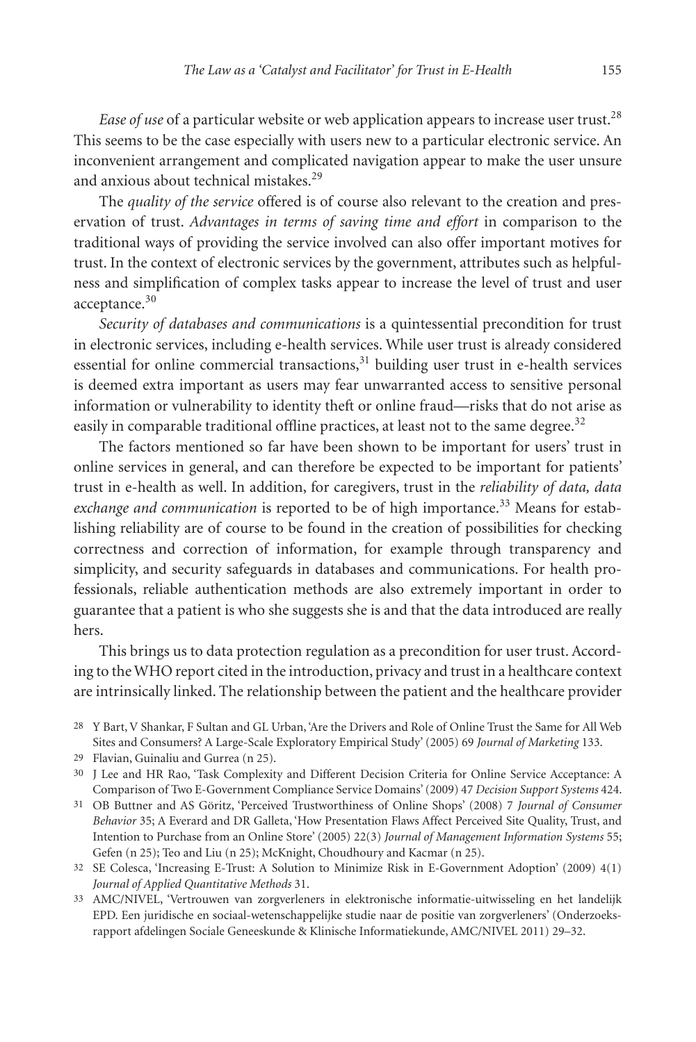*Ease of use* of a particular website or web application appears to increase user trust.<sup>28</sup> This seems to be the case especially with users new to a particular electronic service. An inconvenient arrangement and complicated navigation appear to make the user unsure and anxious about technical mistakes.<sup>29</sup>

The *quality of the service* offered is of course also relevant to the creation and preservation of trust. *Advantages in terms of saving time and effort* in comparison to the traditional ways of providing the service involved can also offer important motives for trust. In the context of electronic services by the government, attributes such as helpfulness and simplification of complex tasks appear to increase the level of trust and user acceptance.<sup>30</sup>

*Security of databases and communications* is a quintessential precondition for trust in electronic services, including e-health services. While user trust is already considered essential for online commercial transactions,<sup>31</sup> building user trust in e-health services is deemed extra important as users may fear unwarranted access to sensitive personal information or vulnerability to identity theft or online fraud—risks that do not arise as easily in comparable traditional offline practices, at least not to the same degree.<sup>32</sup>

The factors mentioned so far have been shown to be important for users' trust in online services in general, and can therefore be expected to be important for patients' trust in e-health as well. In addition, for caregivers, trust in the *reliability of data, data exchange and communication* is reported to be of high importance.<sup>33</sup> Means for establishing reliability are of course to be found in the creation of possibilities for checking correctness and correction of information, for example through transparency and simplicity, and security safeguards in databases and communications. For health professionals, reliable authentication methods are also extremely important in order to guarantee that a patient is who she suggests she is and that the data introduced are really hers.

This brings us to data protection regulation as a precondition for user trust. According to the WHO report cited in the introduction, privacy and trust in a healthcare context are intrinsically linked. The relationship between the patient and the healthcare provider

29 Flavian, Guinaliu and Gurrea (n 25).

- 31 OB Buttner and AS Göritz, 'Perceived Trustworthiness of Online Shops' (2008) 7 *Journal of Consumer Behavior* 35; A Everard and DR Galleta, 'How Presentation Flaws Affect Perceived Site Quality, Trust, and Intention to Purchase from an Online Store' (2005) 22(3) *Journal of Management Information Systems* 55; Gefen (n 25); Teo and Liu (n 25); McKnight, Choudhoury and Kacmar (n 25).
- 32 SE Colesca, 'Increasing E-Trust: A Solution to Minimize Risk in E-Government Adoption' (2009) 4(1) *Journal of Applied Quantitative Methods* 31.
- 33 AMC/NIVEL, 'Vertrouwen van zorgverleners in elektronische informatie-uitwisseling en het landelijk EPD. Een juridische en sociaal-wetenschappelijke studie naar de positie van zorgverleners' (Onderzoeksrapport afdelingen Sociale Geneeskunde & Klinische Informatiekunde, AMC/NIVEL 2011) 29–32.

<sup>28</sup> Y Bart, V Shankar, F Sultan and GL Urban, 'Are the Drivers and Role of Online Trust the Same for All Web Sites and Consumers? A Large-Scale Exploratory Empirical Study' (2005) 69 *Journal of Marketing* 133.

<sup>30</sup> J Lee and HR Rao, 'Task Complexity and Different Decision Criteria for Online Service Acceptance: A Comparison of Two E-Government Compliance Service Domains' (2009) 47 *Decision Support Systems* 424.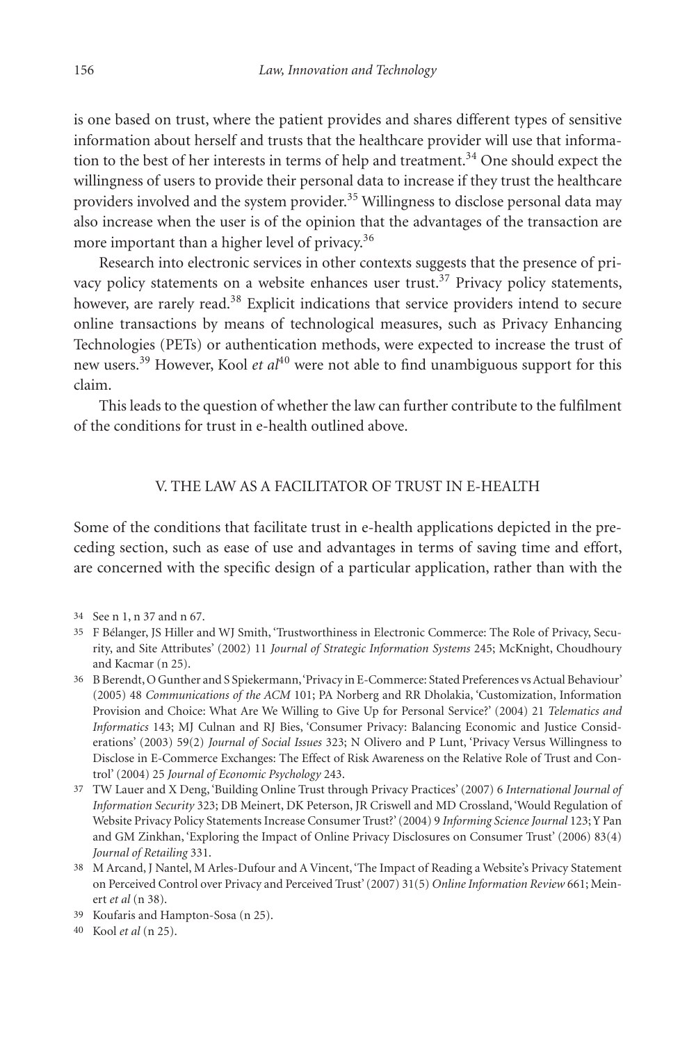is one based on trust, where the patient provides and shares different types of sensitive information about herself and trusts that the healthcare provider will use that information to the best of her interests in terms of help and treatment.<sup>34</sup> One should expect the willingness of users to provide their personal data to increase if they trust the healthcare providers involved and the system provider.<sup>35</sup> Willingness to disclose personal data may also increase when the user is of the opinion that the advantages of the transaction are more important than a higher level of privacy.<sup>36</sup>

Research into electronic services in other contexts suggests that the presence of privacy policy statements on a website enhances user trust.<sup>37</sup> Privacy policy statements, however, are rarely read.<sup>38</sup> Explicit indications that service providers intend to secure online transactions by means of technological measures, such as Privacy Enhancing Technologies (PETs) or authentication methods, were expected to increase the trust of new users.<sup>39</sup> However, Kool *et al*<sup>40</sup> were not able to find unambiguous support for this claim.

This leads to the question of whether the law can further contribute to the fulfilment of the conditions for trust in e-health outlined above.

### V. THE LAW AS A FACILITATOR OF TRUST IN E-HEALTH

Some of the conditions that facilitate trust in e-health applications depicted in the preceding section, such as ease of use and advantages in terms of saving time and effort, are concerned with the specific design of a particular application, rather than with the

- 35 F Bélanger, JS Hiller and WJ Smith, 'Trustworthiness in Electronic Commerce: The Role of Privacy, Security, and Site Attributes' (2002) 11 *Journal of Strategic Information Systems* 245; McKnight, Choudhoury and Kacmar (n 25).
- 36 B Berendt, O Gunther and S Spiekermann, 'Privacy in E-Commerce: Stated Preferences vs Actual Behaviour' (2005) 48 *Communications of the ACM* 101; PA Norberg and RR Dholakia, 'Customization, Information Provision and Choice: What Are We Willing to Give Up for Personal Service?' (2004) 21 *Telematics and Informatics* 143; MJ Culnan and RJ Bies, 'Consumer Privacy: Balancing Economic and Justice Considerations' (2003) 59(2) *Journal of Social Issues* 323; N Olivero and P Lunt, 'Privacy Versus Willingness to Disclose in E-Commerce Exchanges: The Effect of Risk Awareness on the Relative Role of Trust and Control' (2004) 25 *Journal of Economic Psychology* 243.
- 37 TW Lauer and X Deng, 'Building Online Trust through Privacy Practices' (2007) 6 *International Journal of Information Security* 323; DB Meinert, DK Peterson, JR Criswell and MD Crossland, 'Would Regulation of Website Privacy Policy Statements Increase Consumer Trust?' (2004) 9 *Informing Science Journal* 123; Y Pan and GM Zinkhan, 'Exploring the Impact of Online Privacy Disclosures on Consumer Trust' (2006) 83(4) *Journal of Retailing* 331.
- 38 M Arcand, J Nantel, M Arles-Dufour and A Vincent, 'The Impact of Reading a Website's Privacy Statement on Perceived Control over Privacy and Perceived Trust' (2007) 31(5) *Online Information Review* 661; Meinert *et al* (n 38).
- 39 Koufaris and Hampton-Sosa (n 25).
- 40 Kool *et al* (n 25).

<sup>34</sup> See n 1, n 37 and n 67.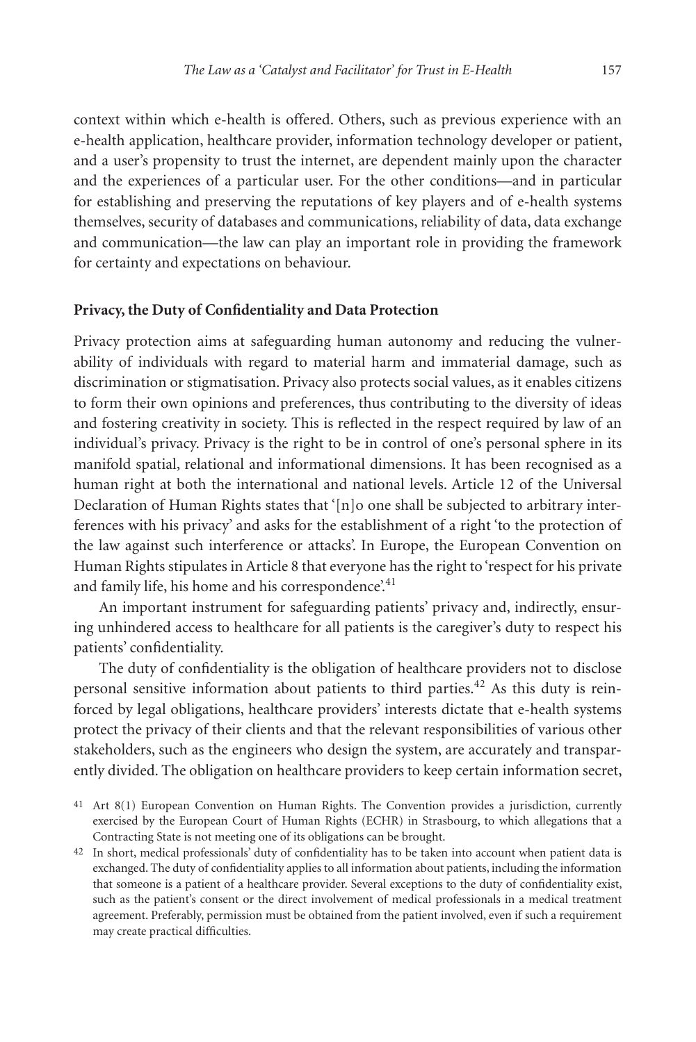context within which e-health is offered. Others, such as previous experience with an e-health application, healthcare provider, information technology developer or patient, and a user's propensity to trust the internet, are dependent mainly upon the character and the experiences of a particular user. For the other conditions—and in particular for establishing and preserving the reputations of key players and of e-health systems themselves, security of databases and communications, reliability of data, data exchange and communication—the law can play an important role in providing the framework for certainty and expectations on behaviour.

#### **Privacy, the Duty of Confidentiality and Data Protection**

Privacy protection aims at safeguarding human autonomy and reducing the vulnerability of individuals with regard to material harm and immaterial damage, such as discrimination or stigmatisation. Privacy also protects social values, as it enables citizens to form their own opinions and preferences, thus contributing to the diversity of ideas and fostering creativity in society. This is reflected in the respect required by law of an individual's privacy. Privacy is the right to be in control of one's personal sphere in its manifold spatial, relational and informational dimensions. It has been recognised as a human right at both the international and national levels. Article 12 of the Universal Declaration of Human Rights states that '[n]o one shall be subjected to arbitrary interferences with his privacy' and asks for the establishment of a right 'to the protection of the law against such interference or attacks'. In Europe, the European Convention on Human Rights stipulates in Article 8 that everyone has the right to 'respect for his private and family life, his home and his correspondence'.<sup>41</sup>

An important instrument for safeguarding patients' privacy and, indirectly, ensuring unhindered access to healthcare for all patients is the caregiver's duty to respect his patients' confidentiality.

The duty of confidentiality is the obligation of healthcare providers not to disclose personal sensitive information about patients to third parties.<sup>42</sup> As this duty is reinforced by legal obligations, healthcare providers' interests dictate that e-health systems protect the privacy of their clients and that the relevant responsibilities of various other stakeholders, such as the engineers who design the system, are accurately and transparently divided. The obligation on healthcare providers to keep certain information secret,

- 41 Art 8(1) European Convention on Human Rights. The Convention provides a jurisdiction, currently exercised by the European Court of Human Rights (ECHR) in Strasbourg, to which allegations that a Contracting State is not meeting one of its obligations can be brought.
- 42 In short, medical professionals' duty of confidentiality has to be taken into account when patient data is exchanged. The duty of confidentiality applies to all information about patients, including the information that someone is a patient of a healthcare provider. Several exceptions to the duty of confidentiality exist, such as the patient's consent or the direct involvement of medical professionals in a medical treatment agreement. Preferably, permission must be obtained from the patient involved, even if such a requirement may create practical difficulties.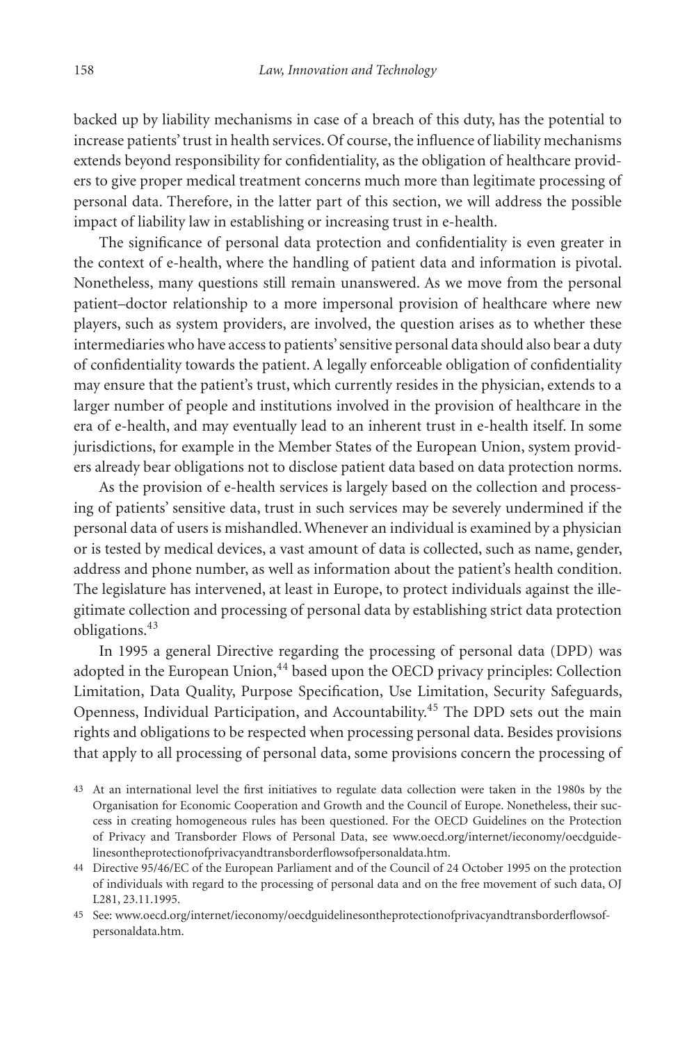backed up by liability mechanisms in case of a breach of this duty, has the potential to increase patients' trust in health services. Of course, the influence of liability mechanisms extends beyond responsibility for confidentiality, as the obligation of healthcare providers to give proper medical treatment concerns much more than legitimate processing of personal data. Therefore, in the latter part of this section, we will address the possible impact of liability law in establishing or increasing trust in e-health.

The significance of personal data protection and confidentiality is even greater in the context of e-health, where the handling of patient data and information is pivotal. Nonetheless, many questions still remain unanswered. As we move from the personal patient–doctor relationship to a more impersonal provision of healthcare where new players, such as system providers, are involved, the question arises as to whether these intermediaries who have access to patients' sensitive personal data should also bear a duty of confidentiality towards the patient. A legally enforceable obligation of confidentiality may ensure that the patient's trust, which currently resides in the physician, extends to a larger number of people and institutions involved in the provision of healthcare in the era of e-health, and may eventually lead to an inherent trust in e-health itself. In some jurisdictions, for example in the Member States of the European Union, system providers already bear obligations not to disclose patient data based on data protection norms.

As the provision of e-health services is largely based on the collection and processing of patients' sensitive data, trust in such services may be severely undermined if the personal data of users is mishandled. Whenever an individual is examined by a physician or is tested by medical devices, a vast amount of data is collected, such as name, gender, address and phone number, as well as information about the patient's health condition. The legislature has intervened, at least in Europe, to protect individuals against the illegitimate collection and processing of personal data by establishing strict data protection obligations.43

In 1995 a general Directive regarding the processing of personal data (DPD) was adopted in the European Union,<sup>44</sup> based upon the OECD privacy principles: Collection Limitation, Data Quality, Purpose Specification, Use Limitation, Security Safeguards, Openness, Individual Participation, and Accountability.45 The DPD sets out the main rights and obligations to be respected when processing personal data. Besides provisions that apply to all processing of personal data, some provisions concern the processing of

- 43 At an international level the first initiatives to regulate data collection were taken in the 1980s by the Organisation for Economic Cooperation and Growth and the Council of Europe. Nonetheless, their success in creating homogeneous rules has been questioned. For the OECD Guidelines on the Protection of Privacy and Transborder Flows of Personal Data, see www.oecd.org/internet/ieconomy/oecdguidelinesontheprotectionofprivacyandtransborderflowsofpersonaldata.htm.
- 44 Directive 95/46/EC of the European Parliament and of the Council of 24 October 1995 on the protection of individuals with regard to the processing of personal data and on the free movement of such data, OJ L281, 23.11.1995.
- 45 See: www.oecd.org/internet/ieconomy/oecdguidelinesontheprotectionofprivacyandtransborderflowsofpersonaldata.htm.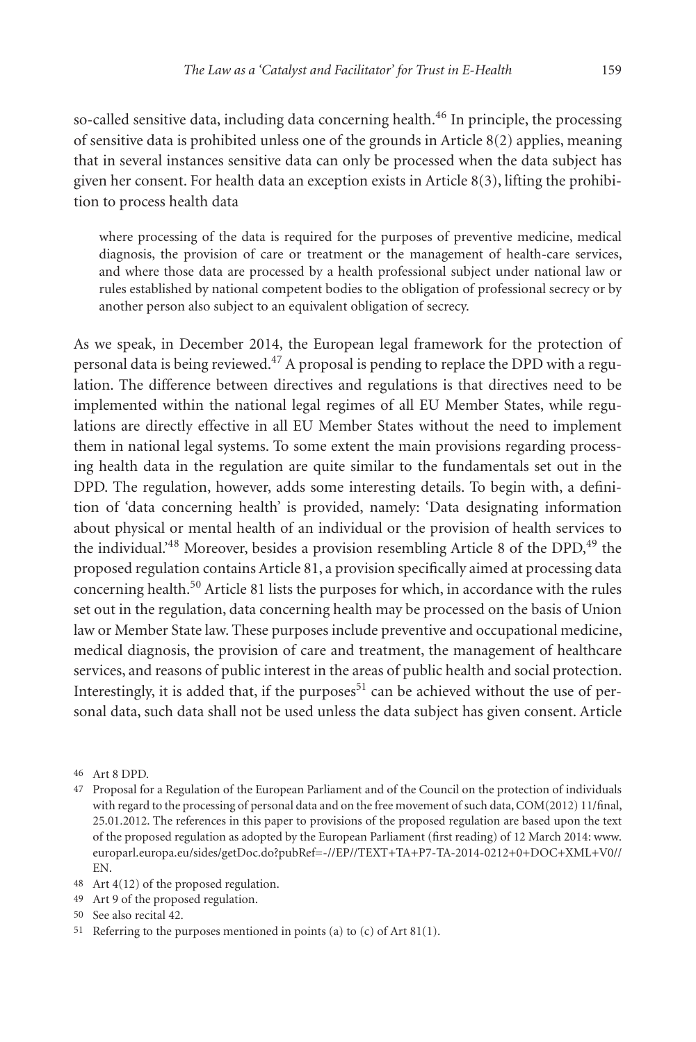so-called sensitive data, including data concerning health.<sup>46</sup> In principle, the processing of sensitive data is prohibited unless one of the grounds in Article  $8(2)$  applies, meaning that in several instances sensitive data can only be processed when the data subject has given her consent. For health data an exception exists in Article 8(3), lifting the prohibition to process health data

where processing of the data is required for the purposes of preventive medicine, medical diagnosis, the provision of care or treatment or the management of health-care services, and where those data are processed by a health professional subject under national law or rules established by national competent bodies to the obligation of professional secrecy or by another person also subject to an equivalent obligation of secrecy.

As we speak, in December 2014, the European legal framework for the protection of personal data is being reviewed.47 A proposal is pending to replace the DPD with a regulation. The difference between directives and regulations is that directives need to be implemented within the national legal regimes of all EU Member States, while regulations are directly effective in all EU Member States without the need to implement them in national legal systems. To some extent the main provisions regarding processing health data in the regulation are quite similar to the fundamentals set out in the DPD. The regulation, however, adds some interesting details. To begin with, a definition of 'data concerning health' is provided, namely: 'Data designating information about physical or mental health of an individual or the provision of health services to the individual.<sup>48</sup> Moreover, besides a provision resembling Article 8 of the DPD,<sup>49</sup> the proposed regulation contains Article 81, a provision specifically aimed at processing data concerning health.<sup>50</sup> Article 81 lists the purposes for which, in accordance with the rules set out in the regulation, data concerning health may be processed on the basis of Union law or Member State law. These purposes include preventive and occupational medicine, medical diagnosis, the provision of care and treatment, the management of healthcare services, and reasons of public interest in the areas of public health and social protection. Interestingly, it is added that, if the purposes<sup>51</sup> can be achieved without the use of personal data, such data shall not be used unless the data subject has given consent. Article

- 48 Art 4(12) of the proposed regulation.
- 49 Art 9 of the proposed regulation.
- 50 See also recital 42.

<sup>46</sup> Art 8 DPD.

<sup>47</sup> Proposal for a Regulation of the European Parliament and of the Council on the protection of individuals with regard to the processing of personal data and on the free movement of such data, COM(2012) 11/final, 25.01.2012. The references in this paper to provisions of the proposed regulation are based upon the text of the proposed regulation as adopted by the European Parliament (first reading) of 12 March 2014: www. europarl.europa.eu/sides/getDoc.do?pubRef=-//EP//TEXT+TA+P7-TA-2014-0212+0+DOC+XML+V0// EN.

<sup>51</sup> Referring to the purposes mentioned in points (a) to (c) of Art  $81(1)$ .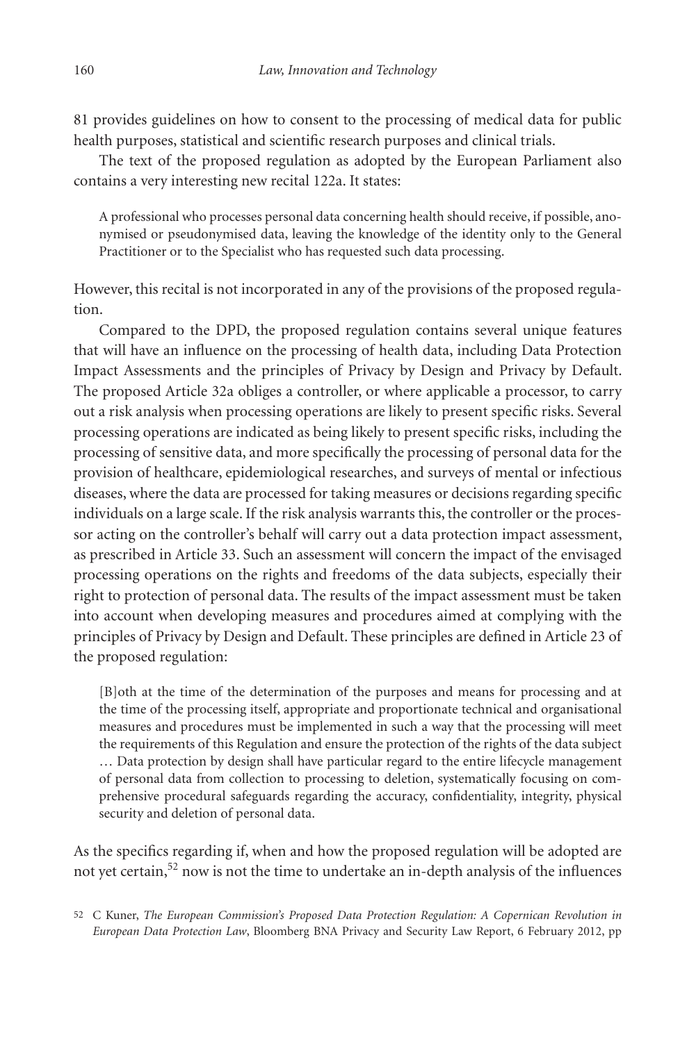81 provides guidelines on how to consent to the processing of medical data for public health purposes, statistical and scientific research purposes and clinical trials.

The text of the proposed regulation as adopted by the European Parliament also contains a very interesting new recital 122a. It states:

A professional who processes personal data concerning health should receive, if possible, anonymised or pseudonymised data, leaving the knowledge of the identity only to the General Practitioner or to the Specialist who has requested such data processing.

However, this recital is not incorporated in any of the provisions of the proposed regulation.

Compared to the DPD, the proposed regulation contains several unique features that will have an influence on the processing of health data, including Data Protection Impact Assessments and the principles of Privacy by Design and Privacy by Default. The proposed Article 32a obliges a controller, or where applicable a processor, to carry out a risk analysis when processing operations are likely to present specific risks. Several processing operations are indicated as being likely to present specific risks, including the processing of sensitive data, and more specifically the processing of personal data for the provision of healthcare, epidemiological researches, and surveys of mental or infectious diseases, where the data are processed for taking measures or decisions regarding specific individuals on a large scale. If the risk analysis warrants this, the controller or the processor acting on the controller's behalf will carry out a data protection impact assessment, as prescribed in Article 33. Such an assessment will concern the impact of the envisaged processing operations on the rights and freedoms of the data subjects, especially their right to protection of personal data. The results of the impact assessment must be taken into account when developing measures and procedures aimed at complying with the principles of Privacy by Design and Default. These principles are defined in Article 23 of the proposed regulation:

[B]oth at the time of the determination of the purposes and means for processing and at the time of the processing itself, appropriate and proportionate technical and organisational measures and procedures must be implemented in such a way that the processing will meet the requirements of this Regulation and ensure the protection of the rights of the data subject … Data protection by design shall have particular regard to the entire lifecycle management of personal data from collection to processing to deletion, systematically focusing on comprehensive procedural safeguards regarding the accuracy, confidentiality, integrity, physical security and deletion of personal data.

As the specifics regarding if, when and how the proposed regulation will be adopted are not yet certain,<sup>52</sup> now is not the time to undertake an in-depth analysis of the influences

<sup>52</sup> C Kuner, *The European Commission's Proposed Data Protection Regulation: A Copernican Revolution in European Data Protection Law*, Bloomberg BNA Privacy and Security Law Report, 6 February 2012, pp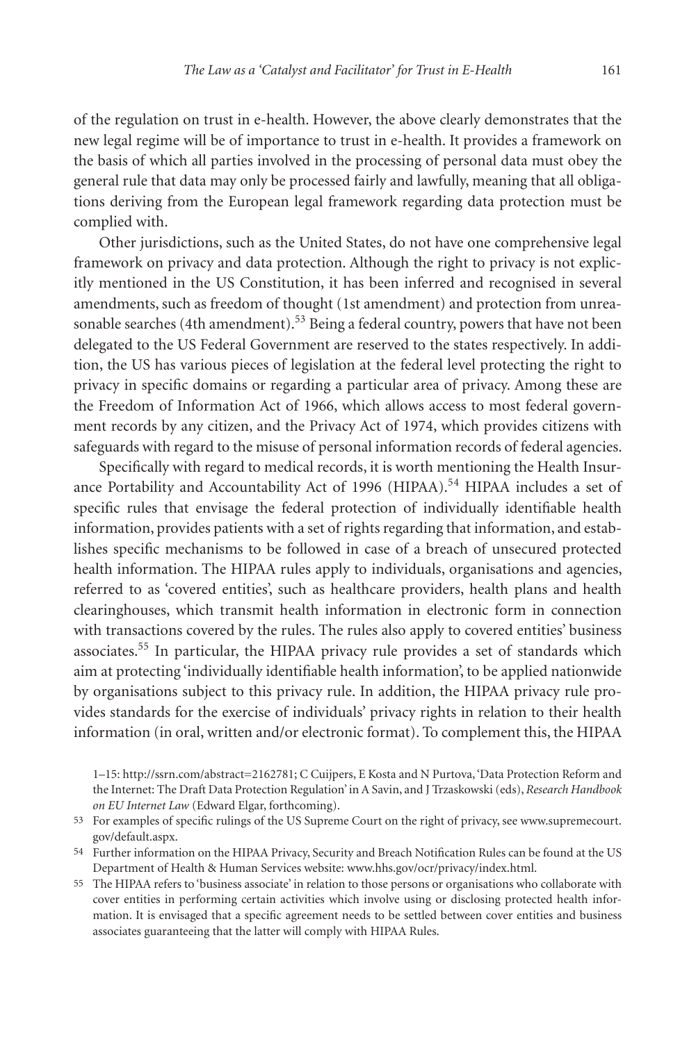of the regulation on trust in e-health. However, the above clearly demonstrates that the new legal regime will be of importance to trust in e-health. It provides a framework on the basis of which all parties involved in the processing of personal data must obey the general rule that data may only be processed fairly and lawfully, meaning that all obligations deriving from the European legal framework regarding data protection must be complied with.

Other jurisdictions, such as the United States, do not have one comprehensive legal framework on privacy and data protection. Although the right to privacy is not explicitly mentioned in the US Constitution, it has been inferred and recognised in several amendments, such as freedom of thought (1st amendment) and protection from unreasonable searches (4th amendment).<sup>53</sup> Being a federal country, powers that have not been delegated to the US Federal Government are reserved to the states respectively. In addition, the US has various pieces of legislation at the federal level protecting the right to privacy in specific domains or regarding a particular area of privacy. Among these are the Freedom of Information Act of 1966, which allows access to most federal government records by any citizen, and the Privacy Act of 1974, which provides citizens with safeguards with regard to the misuse of personal information records of federal agencies.

Specifically with regard to medical records, it is worth mentioning the Health Insurance Portability and Accountability Act of 1996 (HIPAA).<sup>54</sup> HIPAA includes a set of specific rules that envisage the federal protection of individually identifiable health information, provides patients with a set of rights regarding that information, and establishes specific mechanisms to be followed in case of a breach of unsecured protected health information. The HIPAA rules apply to individuals, organisations and agencies, referred to as 'covered entities', such as healthcare providers, health plans and health clearinghouses, which transmit health information in electronic form in connection with transactions covered by the rules. The rules also apply to covered entities' business associates.55 In particular, the HIPAA privacy rule provides a set of standards which aim at protecting 'individually identifiable health information', to be applied nationwide by organisations subject to this privacy rule. In addition, the HIPAA privacy rule provides standards for the exercise of individuals' privacy rights in relation to their health information (in oral, written and/or electronic format). To complement this, the HIPAA

1–15: http://ssrn.com/abstract=2162781; C Cuijpers, E Kosta and N Purtova, 'Data Protection Reform and the Internet: The Draft Data Protection Regulation' in A Savin, and J Trzaskowski (eds), *Research Handbook on EU Internet Law* (Edward Elgar, forthcoming).

53 For examples of specific rulings of the US Supreme Court on the right of privacy, see www.supremecourt. gov/default.aspx.

- 54 Further information on the HIPAA Privacy, Security and Breach Notification Rules can be found at the US Department of Health & Human Services website: www.hhs.gov/ocr/privacy/index.html.
- 55 The HIPAA refers to 'business associate' in relation to those persons or organisations who collaborate with cover entities in performing certain activities which involve using or disclosing protected health information. It is envisaged that a specific agreement needs to be settled between cover entities and business associates guaranteeing that the latter will comply with HIPAA Rules.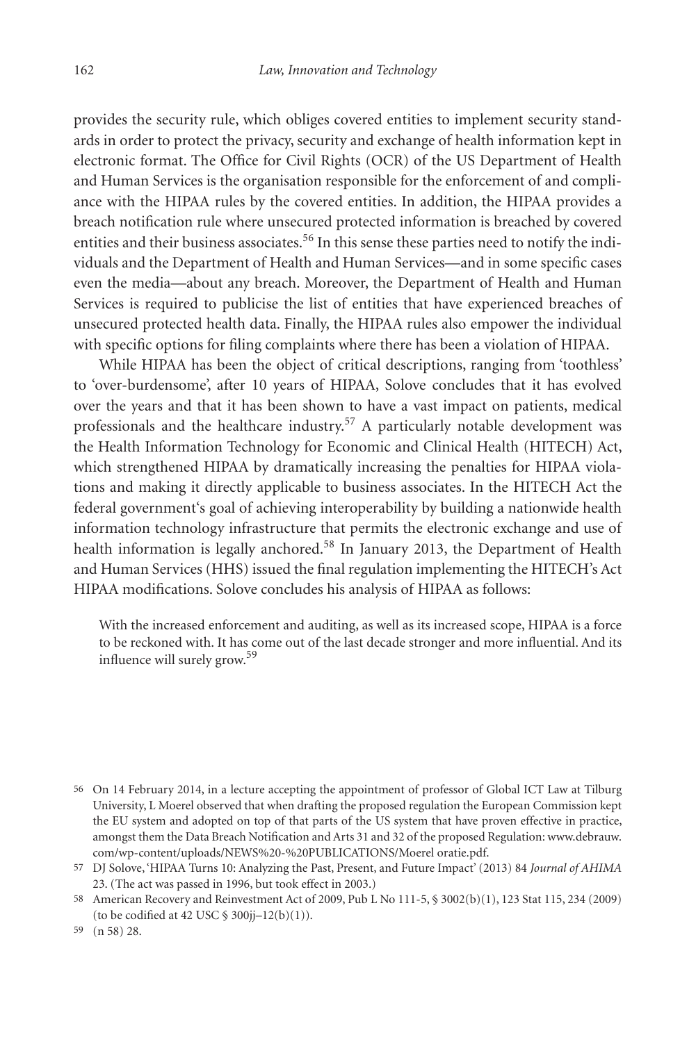provides the security rule, which obliges covered entities to implement security standards in order to protect the privacy, security and exchange of health information kept in electronic format. The Office for Civil Rights (OCR) of the US Department of Health and Human Services is the organisation responsible for the enforcement of and compliance with the HIPAA rules by the covered entities. In addition, the HIPAA provides a breach notification rule where unsecured protected information is breached by covered entities and their business associates.<sup>56</sup> In this sense these parties need to notify the individuals and the Department of Health and Human Services—and in some specific cases even the media—about any breach. Moreover, the Department of Health and Human Services is required to publicise the list of entities that have experienced breaches of unsecured protected health data. Finally, the HIPAA rules also empower the individual with specific options for filing complaints where there has been a violation of HIPAA.

While HIPAA has been the object of critical descriptions, ranging from 'toothless' to 'over-burdensome', after 10 years of HIPAA, Solove concludes that it has evolved over the years and that it has been shown to have a vast impact on patients, medical professionals and the healthcare industry.<sup>57</sup> A particularly notable development was the Health Information Technology for Economic and Clinical Health (HITECH) Act, which strengthened HIPAA by dramatically increasing the penalties for HIPAA violations and making it directly applicable to business associates. In the HITECH Act the federal government's goal of achieving interoperability by building a nationwide health information technology infrastructure that permits the electronic exchange and use of health information is legally anchored.<sup>58</sup> In January 2013, the Department of Health and Human Services (HHS) issued the final regulation implementing the HITECH's Act HIPAA modifications. Solove concludes his analysis of HIPAA as follows:

With the increased enforcement and auditing, as well as its increased scope, HIPAA is a force to be reckoned with. It has come out of the last decade stronger and more influential. And its influence will surely grow.<sup>59</sup>

<sup>56</sup> On 14 February 2014, in a lecture accepting the appointment of professor of Global ICT Law at Tilburg University, L Moerel observed that when drafting the proposed regulation the European Commission kept the EU system and adopted on top of that parts of the US system that have proven effective in practice, amongst them the Data Breach Notification and Arts 31 and 32 of the proposed Regulation: www.debrauw. com/wp-content/uploads/NEWS%20-%20PUBLICATIONS/Moerel oratie.pdf.

<sup>57</sup> DJ Solove, 'HIPAA Turns 10: Analyzing the Past, Present, and Future Impact' (2013) 84 *Journal of AHIMA* 23. (The act was passed in 1996, but took effect in 2003.)

<sup>58</sup> American Recovery and Reinvestment Act of 2009, Pub L No 111-5, § 3002(b)(1), 123 Stat 115, 234 (2009) (to be codified at 42 USC  $\$ 300jj-12(b)(1)$ ).

<sup>59</sup> (n 58) 28.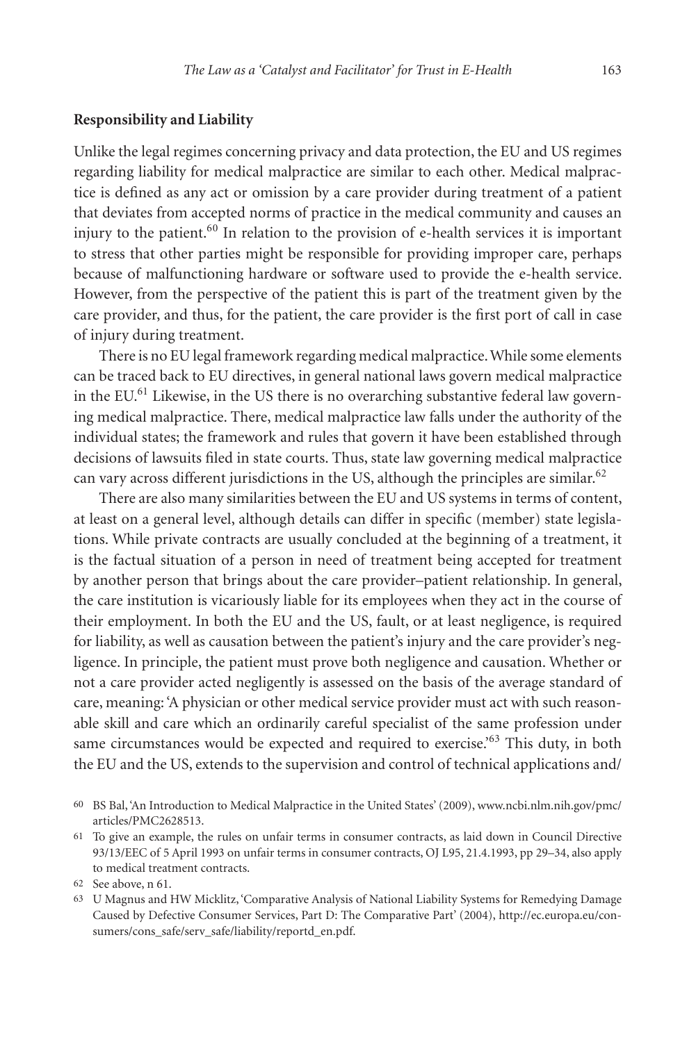## **Responsibility and Liability**

Unlike the legal regimes concerning privacy and data protection, the EU and US regimes regarding liability for medical malpractice are similar to each other. Medical malpractice is defined as any act or omission by a care provider during treatment of a patient that deviates from accepted norms of practice in the medical community and causes an injury to the patient.<sup>60</sup> In relation to the provision of e-health services it is important to stress that other parties might be responsible for providing improper care, perhaps because of malfunctioning hardware or software used to provide the e-health service. However, from the perspective of the patient this is part of the treatment given by the care provider, and thus, for the patient, the care provider is the first port of call in case of injury during treatment.

There is no EU legal framework regarding medical malpractice. While some elements can be traced back to EU directives, in general national laws govern medical malpractice in the EU.<sup>61</sup> Likewise, in the US there is no overarching substantive federal law governing medical malpractice. There, medical malpractice law falls under the authority of the individual states; the framework and rules that govern it have been established through decisions of lawsuits filed in state courts. Thus, state law governing medical malpractice can vary across different jurisdictions in the US, although the principles are similar. $62$ 

There are also many similarities between the EU and US systems in terms of content, at least on a general level, although details can differ in specific (member) state legislations. While private contracts are usually concluded at the beginning of a treatment, it is the factual situation of a person in need of treatment being accepted for treatment by another person that brings about the care provider–patient relationship. In general, the care institution is vicariously liable for its employees when they act in the course of their employment. In both the EU and the US, fault, or at least negligence, is required for liability, as well as causation between the patient's injury and the care provider's negligence. In principle, the patient must prove both negligence and causation. Whether or not a care provider acted negligently is assessed on the basis of the average standard of care, meaning: 'A physician or other medical service provider must act with such reasonable skill and care which an ordinarily careful specialist of the same profession under same circumstances would be expected and required to exercise.<sup>'63</sup> This duty, in both the EU and the US, extends to the supervision and control of technical applications and/

<sup>60</sup> BS Bal, 'An Introduction to Medical Malpractice in the United States' (2009), www.ncbi.nlm.nih.gov/pmc/ articles/PMC2628513.

<sup>61</sup> To give an example, the rules on unfair terms in consumer contracts, as laid down in Council Directive 93/13/EEC of 5 April 1993 on unfair terms in consumer contracts, OJ L95, 21.4.1993, pp 29–34, also apply to medical treatment contracts.

<sup>62</sup> See above, n 61.

<sup>63</sup> U Magnus and HW Micklitz, 'Comparative Analysis of National Liability Systems for Remedying Damage Caused by Defective Consumer Services, Part D: The Comparative Part' (2004), http://ec.europa.eu/consumers/cons\_safe/serv\_safe/liability/reportd\_en.pdf.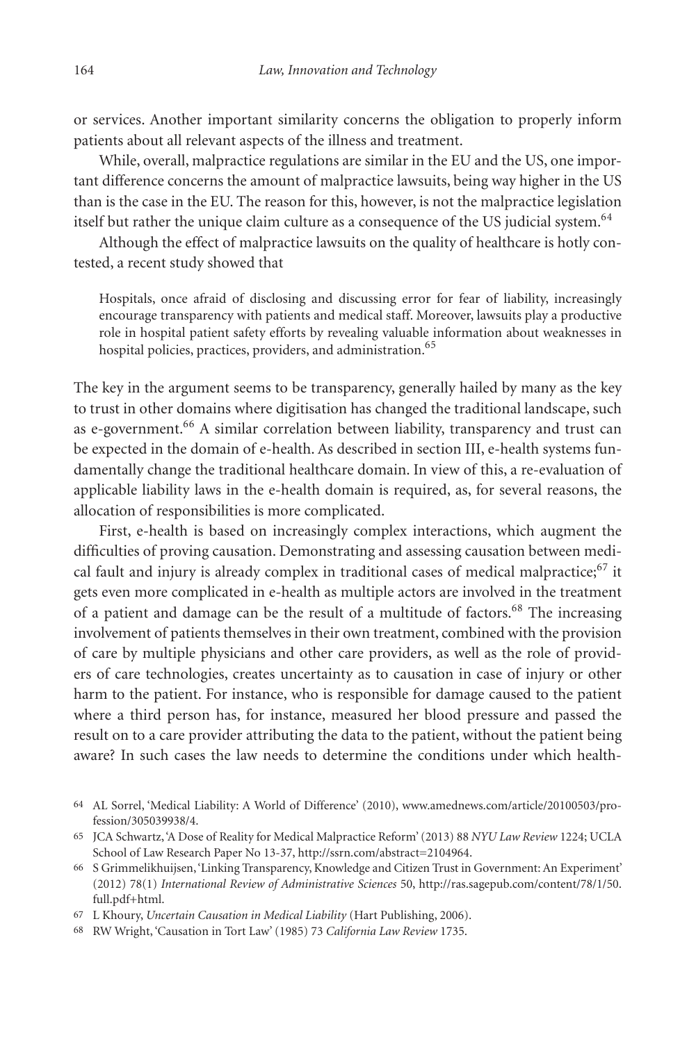or services. Another important similarity concerns the obligation to properly inform patients about all relevant aspects of the illness and treatment.

While, overall, malpractice regulations are similar in the EU and the US, one important difference concerns the amount of malpractice lawsuits, being way higher in the US than is the case in the EU. The reason for this, however, is not the malpractice legislation itself but rather the unique claim culture as a consequence of the US judicial system.<sup>64</sup>

Although the effect of malpractice lawsuits on the quality of healthcare is hotly contested, a recent study showed that

Hospitals, once afraid of disclosing and discussing error for fear of liability, increasingly encourage transparency with patients and medical staff. Moreover, lawsuits play a productive role in hospital patient safety efforts by revealing valuable information about weaknesses in hospital policies, practices, providers, and administration.<sup>65</sup>

The key in the argument seems to be transparency, generally hailed by many as the key to trust in other domains where digitisation has changed the traditional landscape, such as e-government.<sup>66</sup> A similar correlation between liability, transparency and trust can be expected in the domain of e-health. As described in section III, e-health systems fundamentally change the traditional healthcare domain. In view of this, a re-evaluation of applicable liability laws in the e-health domain is required, as, for several reasons, the allocation of responsibilities is more complicated.

First, e-health is based on increasingly complex interactions, which augment the difficulties of proving causation. Demonstrating and assessing causation between medical fault and injury is already complex in traditional cases of medical malpractice;<sup>67</sup> it gets even more complicated in e-health as multiple actors are involved in the treatment of a patient and damage can be the result of a multitude of factors.<sup>68</sup> The increasing involvement of patients themselves in their own treatment, combined with the provision of care by multiple physicians and other care providers, as well as the role of providers of care technologies, creates uncertainty as to causation in case of injury or other harm to the patient. For instance, who is responsible for damage caused to the patient where a third person has, for instance, measured her blood pressure and passed the result on to a care provider attributing the data to the patient, without the patient being aware? In such cases the law needs to determine the conditions under which health-

<sup>64</sup> AL Sorrel, 'Medical Liability: A World of Difference' (2010), www.amednews.com/article/20100503/profession/305039938/4.

<sup>65</sup> JCA Schwartz, 'A Dose of Reality for Medical Malpractice Reform' (2013) 88 *NYU Law Review* 1224; UCLA School of Law Research Paper No 13-37, http://ssrn.com/abstract=2104964.

<sup>66</sup> S Grimmelikhuijsen, 'Linking Transparency, Knowledge and Citizen Trust in Government: An Experiment' (2012) 78(1) *International Review of Administrative Sciences* 50, http://ras.sagepub.com/content/78/1/50. full.pdf+html.

<sup>67</sup> L Khoury, *Uncertain Causation in Medical Liability* (Hart Publishing, 2006).

<sup>68</sup> RW Wright, 'Causation in Tort Law' (1985) 73 *California Law Review* 1735.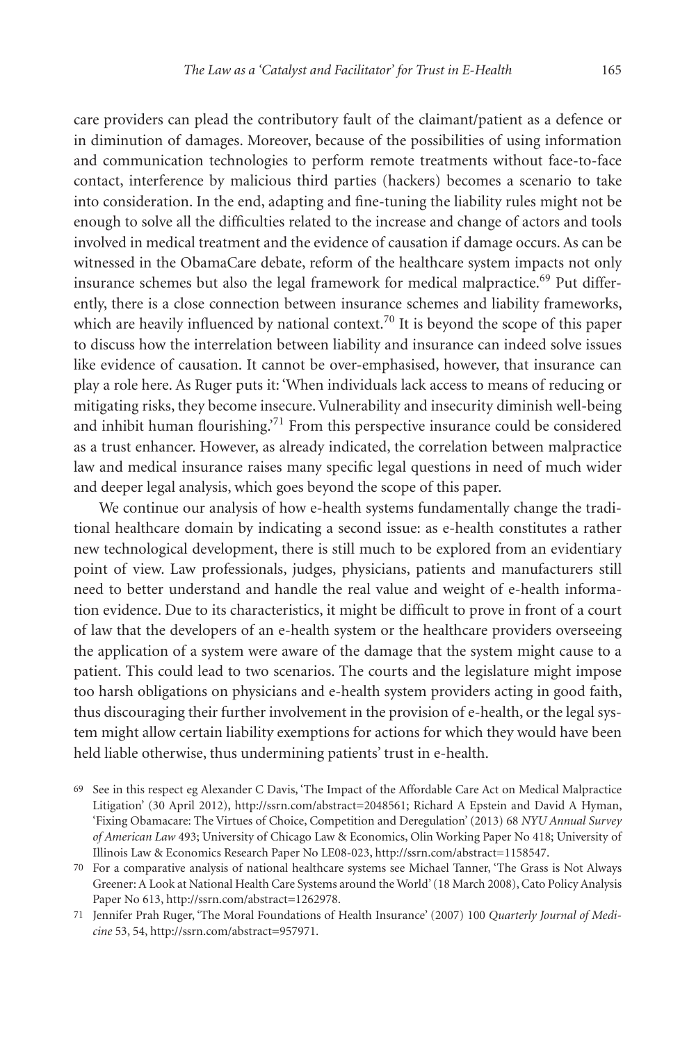care providers can plead the contributory fault of the claimant/patient as a defence or in diminution of damages. Moreover, because of the possibilities of using information and communication technologies to perform remote treatments without face-to-face contact, interference by malicious third parties (hackers) becomes a scenario to take into consideration. In the end, adapting and fine-tuning the liability rules might not be enough to solve all the difficulties related to the increase and change of actors and tools involved in medical treatment and the evidence of causation if damage occurs. As can be witnessed in the ObamaCare debate, reform of the healthcare system impacts not only insurance schemes but also the legal framework for medical malpractice.<sup>69</sup> Put differently, there is a close connection between insurance schemes and liability frameworks, which are heavily influenced by national context.<sup>70</sup> It is beyond the scope of this paper to discuss how the interrelation between liability and insurance can indeed solve issues like evidence of causation. It cannot be over-emphasised, however, that insurance can play a role here. As Ruger puts it: 'When individuals lack access to means of reducing or mitigating risks, they become insecure. Vulnerability and insecurity diminish well-being and inhibit human flourishing.'71 From this perspective insurance could be considered as a trust enhancer. However, as already indicated, the correlation between malpractice law and medical insurance raises many specific legal questions in need of much wider and deeper legal analysis, which goes beyond the scope of this paper.

We continue our analysis of how e-health systems fundamentally change the traditional healthcare domain by indicating a second issue: as e-health constitutes a rather new technological development, there is still much to be explored from an evidentiary point of view. Law professionals, judges, physicians, patients and manufacturers still need to better understand and handle the real value and weight of e-health information evidence. Due to its characteristics, it might be difficult to prove in front of a court of law that the developers of an e-health system or the healthcare providers overseeing the application of a system were aware of the damage that the system might cause to a patient. This could lead to two scenarios. The courts and the legislature might impose too harsh obligations on physicians and e-health system providers acting in good faith, thus discouraging their further involvement in the provision of e-health, or the legal system might allow certain liability exemptions for actions for which they would have been held liable otherwise, thus undermining patients' trust in e-health.

<sup>69</sup> See in this respect eg Alexander C Davis, 'The Impact of the Affordable Care Act on Medical Malpractice Litigation' (30 April 2012), http://ssrn.com/abstract=2048561; Richard A Epstein and David A Hyman, 'Fixing Obamacare: The Virtues of Choice, Competition and Deregulation' (2013) 68 *NYU Annual Survey of American Law* 493; University of Chicago Law & Economics, Olin Working Paper No 418; University of Illinois Law & Economics Research Paper No LE08-023, http://ssrn.com/abstract=1158547.

<sup>70</sup> For a comparative analysis of national healthcare systems see Michael Tanner, 'The Grass is Not Always Greener: A Look at National Health Care Systems around the World' (18 March 2008), Cato Policy Analysis Paper No 613, http://ssrn.com/abstract=1262978.

<sup>71</sup> Jennifer Prah Ruger, 'The Moral Foundations of Health Insurance' (2007) 100 *Quarterly Journal of Medicine* 53, 54, http://ssrn.com/abstract=957971.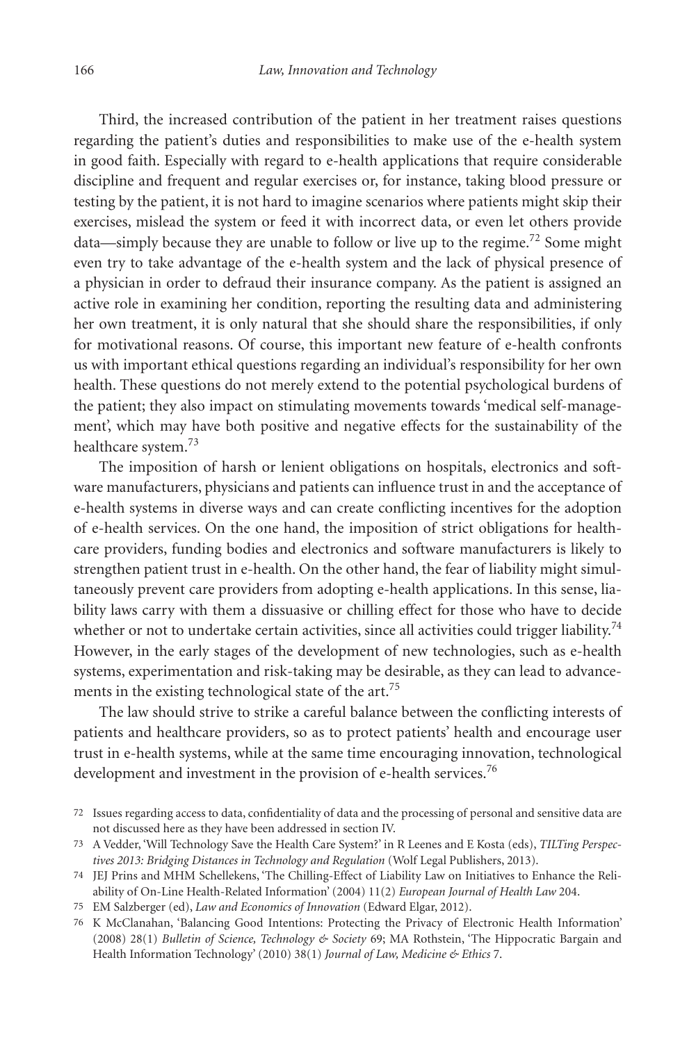Third, the increased contribution of the patient in her treatment raises questions regarding the patient's duties and responsibilities to make use of the e-health system in good faith. Especially with regard to e-health applications that require considerable discipline and frequent and regular exercises or, for instance, taking blood pressure or testing by the patient, it is not hard to imagine scenarios where patients might skip their exercises, mislead the system or feed it with incorrect data, or even let others provide data—simply because they are unable to follow or live up to the regime.<sup>72</sup> Some might even try to take advantage of the e-health system and the lack of physical presence of a physician in order to defraud their insurance company. As the patient is assigned an active role in examining her condition, reporting the resulting data and administering her own treatment, it is only natural that she should share the responsibilities, if only for motivational reasons. Of course, this important new feature of e-health confronts us with important ethical questions regarding an individual's responsibility for her own health. These questions do not merely extend to the potential psychological burdens of the patient; they also impact on stimulating movements towards 'medical self-management', which may have both positive and negative effects for the sustainability of the healthcare system.<sup>73</sup>

The imposition of harsh or lenient obligations on hospitals, electronics and software manufacturers, physicians and patients can influence trust in and the acceptance of e-health systems in diverse ways and can create conflicting incentives for the adoption of e-health services. On the one hand, the imposition of strict obligations for healthcare providers, funding bodies and electronics and software manufacturers is likely to strengthen patient trust in e-health. On the other hand, the fear of liability might simultaneously prevent care providers from adopting e-health applications. In this sense, liability laws carry with them a dissuasive or chilling effect for those who have to decide whether or not to undertake certain activities, since all activities could trigger liability.<sup>74</sup> However, in the early stages of the development of new technologies, such as e-health systems, experimentation and risk-taking may be desirable, as they can lead to advancements in the existing technological state of the art.<sup>75</sup>

The law should strive to strike a careful balance between the conflicting interests of patients and healthcare providers, so as to protect patients' health and encourage user trust in e-health systems, while at the same time encouraging innovation, technological development and investment in the provision of e-health services.<sup>76</sup>

<sup>72</sup> Issues regarding access to data, confidentiality of data and the processing of personal and sensitive data are not discussed here as they have been addressed in section IV.

<sup>73</sup> A Vedder, 'Will Technology Save the Health Care System?' in R Leenes and E Kosta (eds), *TILTing Perspectives 2013: Bridging Distances in Technology and Regulation* (Wolf Legal Publishers, 2013).

<sup>74</sup> JEJ Prins and MHM Schellekens, 'The Chilling-Effect of Liability Law on Initiatives to Enhance the Reliability of On-Line Health-Related Information' (2004) 11(2) *European Journal of Health Law* 204.

<sup>75</sup> EM Salzberger (ed), *Law and Economics of Innovation* (Edward Elgar, 2012).

<sup>76</sup> K McClanahan, 'Balancing Good Intentions: Protecting the Privacy of Electronic Health Information' (2008) 28(1) *Bulletin of Science, Technology & Society* 69; MA Rothstein, 'The Hippocratic Bargain and Health Information Technology' (2010) 38(1) *Journal of Law, Medicine & Ethics* 7.